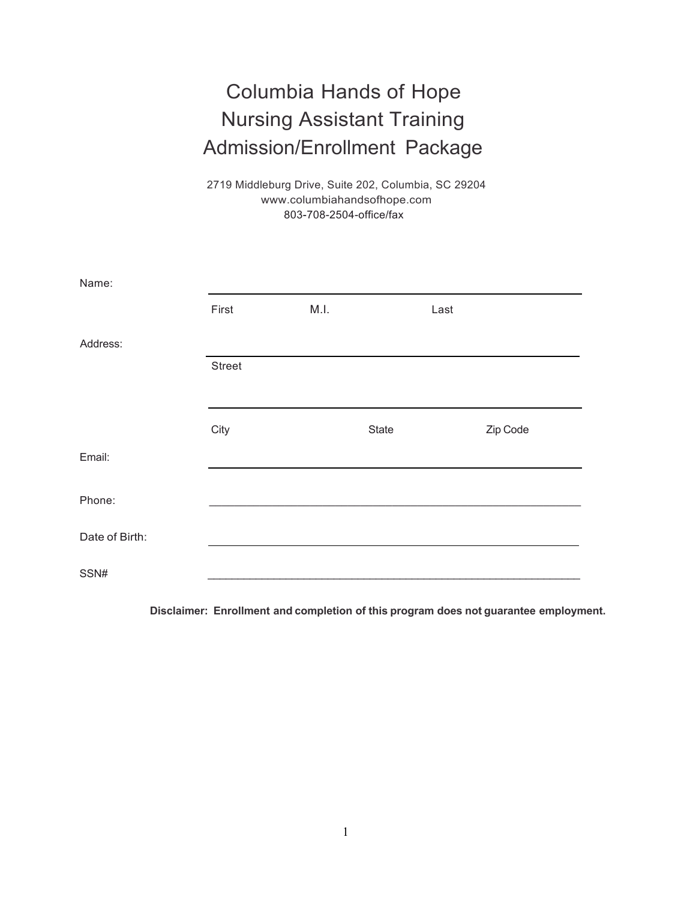# Columbia Hands of Hope Nursing Assistant Training Admission/Enrollment Package

2719 Middleburg Drive, Suite 202, Columbia, SC 29204 www.columbiahandsofhope.com 803-708-2504-office/fax

| Name:          |        |      |       |      |          |
|----------------|--------|------|-------|------|----------|
|                | First  | M.I. |       | Last |          |
| Address:       |        |      |       |      |          |
|                | Street |      |       |      |          |
|                |        |      |       |      |          |
|                | City   |      | State |      | Zip Code |
| Email:         |        |      |       |      |          |
| Phone:         |        |      |       |      |          |
| Date of Birth: |        |      |       |      |          |
| SSN#           |        |      |       |      |          |

**Disclaimer: Enrollment and completion of this program does not guarantee employment.**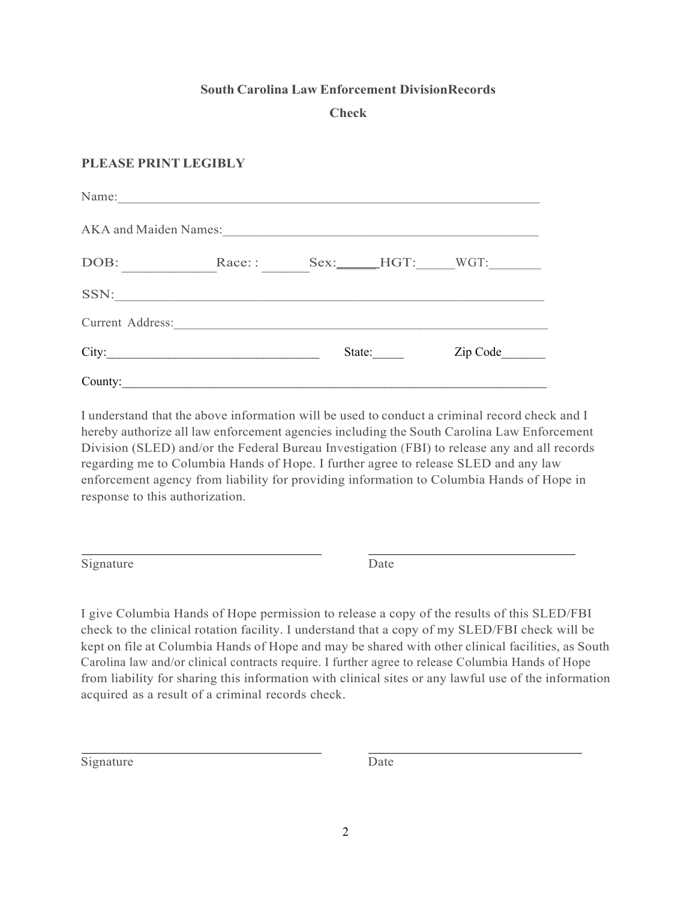## **South Carolina Law Enforcement DivisionRecords**

## **Check**

## **PLEASE PRINT LEGIBLY**

| Name:            |                       |        |  |                     |
|------------------|-----------------------|--------|--|---------------------|
|                  | AKA and Maiden Names: |        |  |                     |
| DOB:             | Race::                |        |  | Sex: _____HGT: WGT: |
|                  | SSN:                  |        |  |                     |
| Current Address: |                       |        |  |                     |
|                  | City:                 | State: |  | Zip Code            |
| County:          |                       |        |  |                     |

I understand that the above information will be used to conduct a criminal record check and I hereby authorize all law enforcement agencies including the South Carolina Law Enforcement Division (SLED) and/or the Federal Bureau Investigation (FBI) to release any and all records regarding me to Columbia Hands of Hope. I further agree to release SLED and any law enforcement agency from liability for providing information to Columbia Hands of Hope in response to this authorization.

Signature Date

I give Columbia Hands of Hope permission to release a copy of the results of this SLED/FBI check to the clinical rotation facility. I understand that a copy of my SLED/FBI check will be kept on file at Columbia Hands of Hope and may be shared with other clinical facilities, as South Carolina law and/or clinical contracts require. I further agree to release Columbia Hands of Hope from liability for sharing this information with clinical sites or any lawful use of the information acquired as a result of a criminal records check.

Signature Date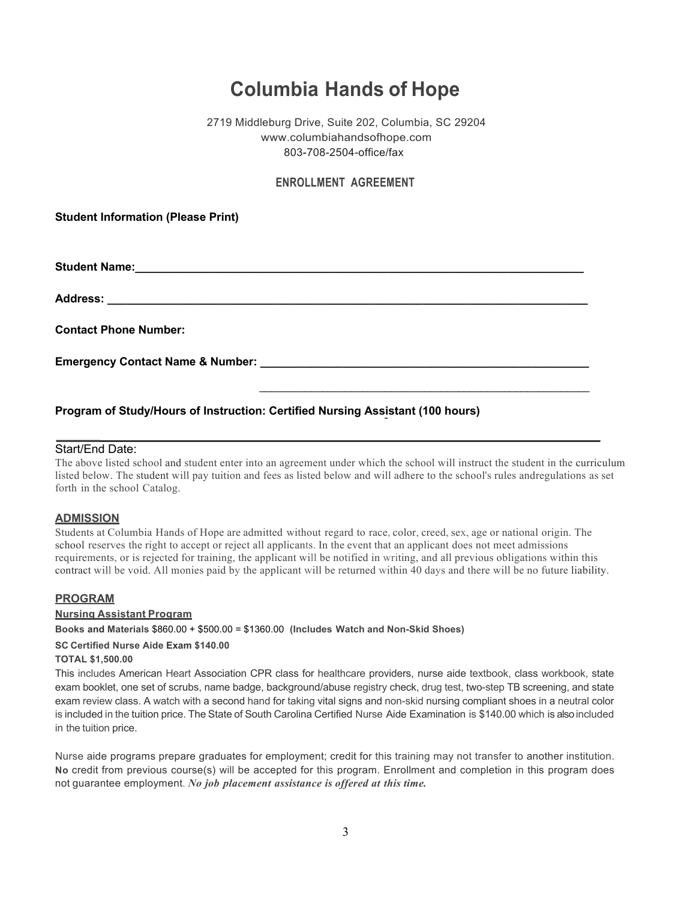## **Columbia Hands of Hope**

## 2719 Middleburg Drive, Suite 202, Columbia, SC 29204 www.columbiahandsofhope.com 803-708-2504-office/fax

## **ENROLLMENT AGREEMENT**

**Student Information (Please Print)**

**Student Name:\_\_\_\_\_\_\_\_\_\_\_\_\_\_\_\_\_\_\_\_\_\_\_\_\_\_\_\_\_\_\_\_\_\_\_\_\_\_\_\_\_\_\_\_\_\_\_\_\_\_\_\_\_\_\_\_\_\_\_\_\_\_\_\_\_\_\_\_\_\_\_**

**Address: \_\_\_\_\_\_\_\_\_\_\_\_\_\_\_\_\_\_\_\_\_\_\_\_\_\_\_\_\_\_\_\_\_\_\_\_\_\_\_\_\_\_\_\_\_\_\_\_\_\_\_\_\_\_\_\_\_\_\_\_\_\_\_\_\_\_\_\_\_\_\_\_\_\_\_\_**

**Contact Phone Number:**

**Emergency Contact Name & Number: \_\_\_\_\_\_\_\_\_\_\_\_\_\_\_\_\_\_\_\_\_\_\_\_\_\_\_\_\_\_\_\_\_\_\_\_\_\_\_\_\_\_\_\_\_\_\_\_\_\_\_\_**

#### **Program of Study/Hours of Instruction: Certified Nursing Assistant (100 hours)**

## Start/End Date:

The above listed school and student enter into an agreement under which the school will instruct the student in the curriculum listed below. The student will pay tuition and fees as listed below and will adhere to the school's rules andregulations as set forth in the school Catalog.

\_\_\_\_\_\_\_\_\_\_\_\_\_\_\_\_\_\_\_\_\_\_\_\_\_\_\_\_\_\_\_\_\_\_\_\_\_\_\_\_\_\_\_\_\_\_\_\_\_\_\_\_\_\_\_\_\_\_

## **ADMISSION**

Students at Columbia Hands of Hope are admitted without regard to race, color, creed, sex, age or national origin. The school reserves the right to accept or reject all applicants. In the event that an applicant does not meet admissions requirements, or is rejected for training, the applicant will be notified in writing, and all previous obligations within this contract will be void. All monies paid by the applicant will be returned within 40 days and there will be no future liability.

#### **PROGRAM**

#### **Nursing Assistant Program**

**Books and Materials** \$860.00 + \$500.00 = \$1360.00 **(Includes Watch and Non-Skid Shoes)**

#### **SC Certified Nurse Aide Exam \$140.00**

#### **TOTAL \$1,500.00**

This includes American Heart Association CPR class for healthcare providers, nurse aide textbook, class workbook, state exam booklet, one set of scrubs, name badge, background/abuse registry check, drug test, two-step TB screening, and state exam review class. A watch with a second hand for taking vital signs and non-skid nursing compliant shoes in a neutral color is included in the tuition price. The State of South Carolina Certified Nurse Aide Examination is \$140.00 which is also included in the tuition price.

Nurse aide programs prepare graduates for employment; credit for this training may not transfer to another institution. **No** credit from previous course(s) will be accepted for this program. Enrollment and completion in this program does not guarantee employment. *No job placement assistance is offered at this time.*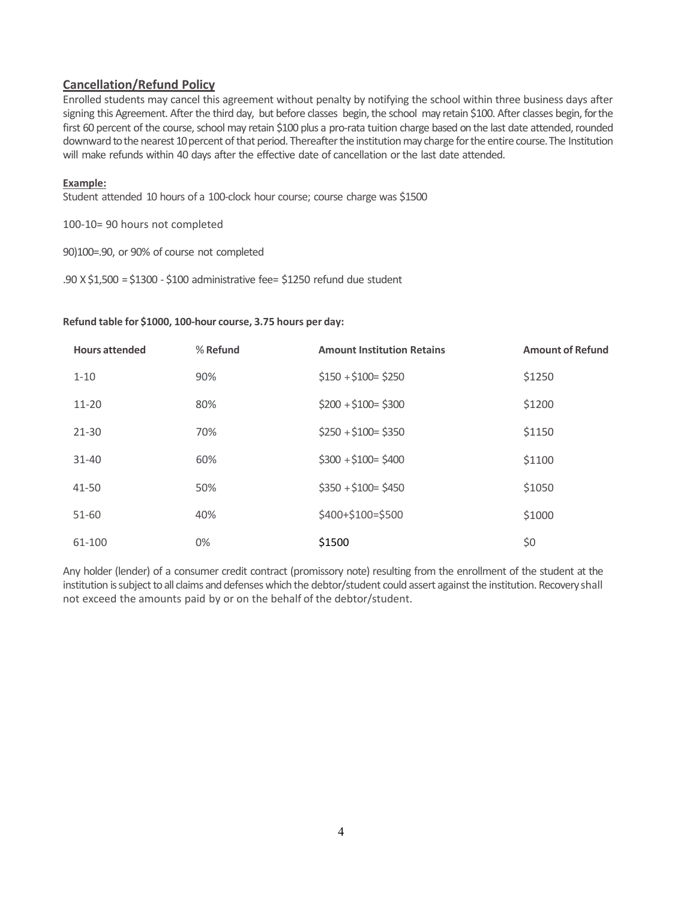## **Cancellation/Refund Policy**

Enrolled students may cancel this agreement without penalty by notifying the school within three business days after signing this Agreement. After the third day, but before classes begin, the school may retain \$100. After classes begin, for the first 60 percent of the course, school may retain \$100 plus a pro-rata tuition charge based on the last date attended, rounded downward to the nearest 10 percent of that period. Thereafter the institution may charge for the entire course. The Institution will make refunds within 40 days after the effective date of cancellation orthe last date attended.

## **Example:**

Student attended 10 hours of a 100-clock hour course; course charge was \$1500

100-10= 90 hours not completed

90)100=.90, or 90% of course not completed

.90 X \$1,500 =\$1300 - \$100 administrative fee= \$1250 refund due student

## **Refund table for \$1000, 100-hour course, 3.75 hours per day:**

| <b>Hours attended</b> | % Refund | <b>Amount Institution Retains</b> | <b>Amount of Refund</b> |
|-----------------------|----------|-----------------------------------|-------------------------|
| $1 - 10$              | 90%      | $$150 + $100 = $250$              | \$1250                  |
| $11 - 20$             | 80%      | $$200 + $100 = $300$              | \$1200                  |
| $21 - 30$             | 70%      | $$250 + $100 = $350$              | \$1150                  |
| $31 - 40$             | 60%      | $$300 + $100 = $400$              | \$1100                  |
| 41-50                 | 50%      | $$350 + $100 = $450$              | \$1050                  |
| 51-60                 | 40%      | \$400+\$100=\$500                 | \$1000                  |
| 61-100                | 0%       | \$1500                            | \$0                     |

Any holder (lender) of a consumer credit contract (promissory note) resulting from the enrollment of the student at the institution is subject to all claims and defenses which the debtor/student could assert against the institution. Recovery shall not exceed the amounts paid by or on the behalf of the debtor/student.